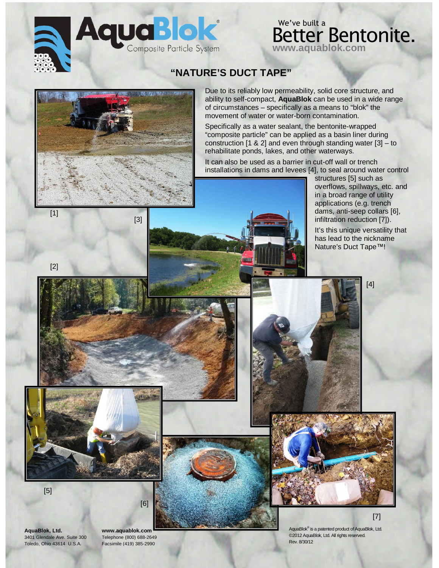

## Better Bentonite. **www.aquablok.com** We've built a

### **"NATURE'S DUCT TAPE"**



[3]

Due to its reliably low permeability, solid core structure, and ability to self-compact, **AquaBlok** can be used in a wide range of circumstances – specifically as a means to "blok" the movement of water or water-born contamination.

Specifically as a water sealant, the bentonite-wrapped "composite particle" can be applied as a basin liner during construction [1 & 2] and even through standing water [3] – to rehabilitate ponds, lakes, and other waterways.

It can also be used as a barrier in cut-off wall or trench installations in dams and levees [4], to seal around water control

structures [5] such as overflows, spillways, etc. and in a broad range of utility applications (e.g. trench dams, anti-seep collars [6], infiltration reduction [7]).

It's this unique versatility that has lead to the nickname Nature's Duct Tape™!

[4]





[2]

**AquaBlok, Ltd. www.aquablok.com** 3401 Glendale Ave. Suite 300 Telephone (800) 688-2649 Toledo, Ohio 43614 U.S.A. Facsimile (419) 385-2990

[6]

AquaBlok® is a patented product of AquaBlok, Ltd. ©2012 AquaBlok, Ltd. All rights reserved. Rev. 8/30/12

[7]